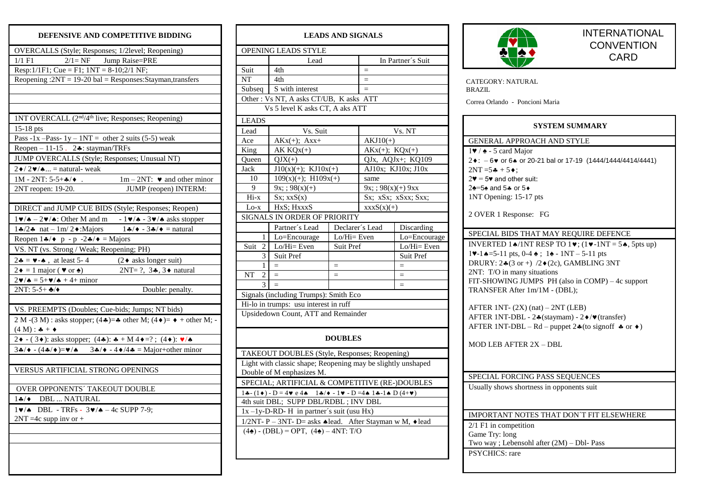## **DEFENSIVE AND COMPETITIVE BIDDING**

| OVERCALLS (Style; Responses; 1/2level; Reopening)                                                                                                                                     |  |  |  |  |  |  |
|---------------------------------------------------------------------------------------------------------------------------------------------------------------------------------------|--|--|--|--|--|--|
| $2/1$ = NF Jump Raise=PRE<br>$1/1$ F1                                                                                                                                                 |  |  |  |  |  |  |
| Resp: $1/1F1$ ; Cue = F1; $1NT = 8-10;2/1NF$ ;                                                                                                                                        |  |  |  |  |  |  |
| Reopening: $2NT = 19-20$ bal = Responses:Stayman,transfers                                                                                                                            |  |  |  |  |  |  |
|                                                                                                                                                                                       |  |  |  |  |  |  |
|                                                                                                                                                                                       |  |  |  |  |  |  |
|                                                                                                                                                                                       |  |  |  |  |  |  |
| 1NT OVERCALL (2 <sup>nd</sup> /4 <sup>th</sup> live; Responses; Reopening)                                                                                                            |  |  |  |  |  |  |
| 15-18 pts                                                                                                                                                                             |  |  |  |  |  |  |
| Pass -1x - Pass -1y -1NT = other 2 suits (5-5) weak                                                                                                                                   |  |  |  |  |  |  |
| Reopen $-11-15$ . 2. stayman/TRFs                                                                                                                                                     |  |  |  |  |  |  |
| JUMP OVERCALLS (Style; Responses; Unusual NT)                                                                                                                                         |  |  |  |  |  |  |
| $2 \cdot 2 \cdot 4$ = natural-weak                                                                                                                                                    |  |  |  |  |  |  |
| $1M - 2NT: 5-5+A/$ .<br>$1m - 2NT$ : $\blacktriangleright$ and other minor                                                                                                            |  |  |  |  |  |  |
| $2NT$ reopen: 19-20.<br>JUMP (reopen) INTERM:                                                                                                                                         |  |  |  |  |  |  |
|                                                                                                                                                                                       |  |  |  |  |  |  |
| DIRECT and JUMP CUE BIDS (Style; Responses; Reopen)                                                                                                                                   |  |  |  |  |  |  |
| $1\blacktriangleright/\blacktriangle = 2\blacktriangleright/\blacktriangle$ : Other M and m $-1\blacktriangleright/\blacktriangle = 3\blacktriangleright/\blacktriangle$ asks stopper |  |  |  |  |  |  |
| $1\clubsuit/2\spadesuit$ nat $-1\text{m}/2\spadesuit$ : Majors<br>$1\clubsuit/\blacklozenge - 3\clubsuit/\blacklozenge =$ natural                                                     |  |  |  |  |  |  |
| Reopen $1 \cdot 1$ $\bullet$   p - p -2 $\cdot 1$   $\bullet$   $\bullet$ = Majors                                                                                                    |  |  |  |  |  |  |
| VS. NT (vs. Strong / Weak; Reopening; PH)                                                                                                                                             |  |  |  |  |  |  |
| $2 - 8 = 4 - 6$ , at least 5-4<br>$(2 \bullet$ asks longer suit)                                                                                                                      |  |  |  |  |  |  |
| $2 \bullet = 1$ major ( $\bullet$ or $\bullet$ )<br>2NT= $?, 3*, 3 \bullet$ natural                                                                                                   |  |  |  |  |  |  |
| $2\blacktriangledown/\spadesuit = 5+\blacktriangledown/\spadesuit + 4 + \text{minor}$                                                                                                 |  |  |  |  |  |  |
| $2NT: 5-5+$ $\clubsuit$ / $\blacklozenge$<br>Double: penalty.                                                                                                                         |  |  |  |  |  |  |
|                                                                                                                                                                                       |  |  |  |  |  |  |
| VS. PREEMPTS (Doubles; Cue-bids; Jumps; NT bids)                                                                                                                                      |  |  |  |  |  |  |
| 2 M -(3 M) : asks stopper; (4 $\clubsuit$ )= $\clubsuit$ other M; (4 $\spadesuit$ )= $\spadesuit$ + other M; -                                                                        |  |  |  |  |  |  |
| $(4 M) : 4 + 4$                                                                                                                                                                       |  |  |  |  |  |  |
| 2 ♦ - (3 ♦): asks stopper; (4 ♦): * + M 4 ♦ =? ; (4 ♦): $\sqrt[4]{\bullet}$                                                                                                           |  |  |  |  |  |  |
| $3\clubsuit/\blacklozenge - (4\clubsuit/\blacklozenge) = \blacktriangledown/\spadesuit$ 3 $\clubsuit/\blacklozenge - 4\blacklozenge/4\clubsuit = \text{Major}+\text{other minor}$     |  |  |  |  |  |  |
|                                                                                                                                                                                       |  |  |  |  |  |  |
| VERSUS ARTIFICIAL STRONG OPENINGS                                                                                                                                                     |  |  |  |  |  |  |
|                                                                                                                                                                                       |  |  |  |  |  |  |
| OVER OPPONENTS' TAKEOUT DOUBLE                                                                                                                                                        |  |  |  |  |  |  |
| $1$ */* DBL  NATURAL                                                                                                                                                                  |  |  |  |  |  |  |
| $1\blacktriangledown/\blacktriangle$ DBL - TRFs - $3\blacktriangledown/\blacktriangle$ - 4c SUPP 7-9;                                                                                 |  |  |  |  |  |  |
| $2NT = 4c$ supp inv or +                                                                                                                                                              |  |  |  |  |  |  |
|                                                                                                                                                                                       |  |  |  |  |  |  |
|                                                                                                                                                                                       |  |  |  |  |  |  |
|                                                                                                                                                                                       |  |  |  |  |  |  |
|                                                                                                                                                                                       |  |  |  |  |  |  |

## **LEADS AND SIGNALS** OPENING LEADS STYLE Lead In Partner's Suit Suit  $4th$  =  $NT \t 4th$  = Subseq  $\left| \right|$  S with interest  $\left| \right|$  = Other : Vs NT, A asks CT/UB, K asks ATT Vs 5 level K asks CT, A aks ATT LEADS Lead Vs. Suit Vs. NT Ace  $AKx(+): Axx+$  AKJ10(+) King  $AK KOx(+)$   $AKx(+); KOx(+)$ Queen  $\overline{Q}$  QJx, AQJx+; KQ109 Jack  $J10(x)(+)$ ; KJ10x(+) AJ10x; KJ10x; J10x 10  $109(x)(+)$ ; H109x(+) same 9  $9x$ ; ; 98(x)(+) 9x; ; 98(x)(+) 9xx Hi-x Sx; xxS(x) Sx; xSx; xSxx; Sxx; Lo-x  $HxS$ ; HxxxS(x)(+) SIGNALS IN ORDER OF PRIORITY Partner´s Lead Declarer´s Lead Discarding 1 Lo=Encourage Lo/Hi= Even Lo=Encourage Suit 2 Lo/Hi= Even Suit Pref Lo/Hi= Even 3 Suit Pref Suit Pref  $1 \leq \frac{1}{2}$  =  $\frac{1}{2}$  =  $\frac{1}{2}$  =  $\frac{1}{2}$  $\begin{array}{|c|c|c|c|c|c|}\n\hline\n\text{NT} & 2 & = & = & = & \boxed{2} \\
\hline\n\text{3} & = & & & & \boxed{3} & = & \boxed{4} \\
\hline\n\end{array}$  $3 \mid$  =  $\mid$  = Signals (including Trumps): Smith Eco Hi-lo in trumps: usu interest in ruff Upsidedown Count, ATT and Remainder **DOUBLES** TAKEOUT DOUBLES (Style, Responses; Reopening) Light with classic shape; Reopening may be slightly unshaped Double of M enphasizes M. SPECIAL; ARTIFICIAL & COMPETITIVE (RE-)DOUBLES  $1\clubsuit$  - (1  $\bullet$ ) - D = 4  $\bullet$  e 4  $\bullet$  1  $\clubsuit$  /  $\bullet$  - 1  $\bullet$  - D = 4  $\bullet$  1  $\clubsuit$  -1  $\spadesuit$  D (4+ $\bullet$ ) 4th suit DBL; SUPP DBL/RDBL ; INV DBL  $1x - 1y - D - RD - H$  in partner's suit (usu Hx) 1/2NT- P – 3NT- D= asks  $\triangleleft$ lead. After Stayman w M,  $\triangleleft$ lead  $(4\spadesuit) - (DBL) = OPT$ ,  $(4\spadesuit) - 4NT$ : T/O



## INTERNATIONAL **CONVENTION** CARD

CATEGORY: NATURAL BRAZIL

Correa Orlando - Poncioni Maria

| SYSTEM SUMMARY                                                                                                                                                                                                                                                                                                                                                                                                                                                                                                                                                                                                  |  |  |  |  |  |  |
|-----------------------------------------------------------------------------------------------------------------------------------------------------------------------------------------------------------------------------------------------------------------------------------------------------------------------------------------------------------------------------------------------------------------------------------------------------------------------------------------------------------------------------------------------------------------------------------------------------------------|--|--|--|--|--|--|
| <b>GENERAL APPROACH AND STYLE</b>                                                                                                                                                                                                                                                                                                                                                                                                                                                                                                                                                                               |  |  |  |  |  |  |
| $1 \blacktriangleright$ / $\blacktriangle$ - 5 card Major<br>$2 \cdot$ : $-6 \cdot \text{or } 6 \cdot \text{or } 20 - 21 \text{ bal or } 17 - 19$ (1444/1444/4414/4441)<br>$2NT = 5 + 5 +$ :<br>$2\blacktriangledown = 5\blacktriangledown$ and other suit:<br>24=5+ and 5+ or 5+<br>1NT Opening: 15-17 pts<br>2 OVER 1 Response: FG                                                                                                                                                                                                                                                                            |  |  |  |  |  |  |
| SPECIAL BIDS THAT MAY REQUIRE DEFENCE                                                                                                                                                                                                                                                                                                                                                                                                                                                                                                                                                                           |  |  |  |  |  |  |
| INVERTED 1.4/1NT RESP TO 1 $\blacktriangledown$ ; (1 $\blacktriangledown$ -1NT = 5.4, 5pts up)<br>$1\blacktriangleright -1\blacktriangle = 5 - 11$ pts, 0-4 $\blacktriangle$ ; 1 $\blacktriangle = 1NT - 5 - 11$ pts<br>DRURY: $2*(3 \text{ or } +)$ /2 $*(2c)$ , GAMBLING 3NT<br>2NT: T/O in many situations<br>FIT-SHOWING JUMPS PH (also in COMP) – 4c support<br>TRANSFER After 1m/1M - (DBL);<br>AFTER 1NT-(2X) (nat) - 2NT (LEB)<br>AFTER 1NT-DBL - 2.4 (staymam) - 2. + / v (transfer)<br>AFTER 1NT-DBL – Rd – puppet $2*(\text{to signoff } \clubsuit \text{or } \spadesuit)$<br>MOD LEB AFTER 2X - DBL |  |  |  |  |  |  |
| SPECIAL FORCING PASS SEQUENCES                                                                                                                                                                                                                                                                                                                                                                                                                                                                                                                                                                                  |  |  |  |  |  |  |
| Usually shows shortness in opponents suit                                                                                                                                                                                                                                                                                                                                                                                                                                                                                                                                                                       |  |  |  |  |  |  |
| IMPORTANT NOTES THAT DON'T FIT ELSEWHERE                                                                                                                                                                                                                                                                                                                                                                                                                                                                                                                                                                        |  |  |  |  |  |  |
| $2/1$ F1 in competition<br>Game Try: long<br>Two way; Lebensohl after $(2M)$ – Dbl- Pass                                                                                                                                                                                                                                                                                                                                                                                                                                                                                                                        |  |  |  |  |  |  |
| <b>PSYCHICS:</b> rare                                                                                                                                                                                                                                                                                                                                                                                                                                                                                                                                                                                           |  |  |  |  |  |  |